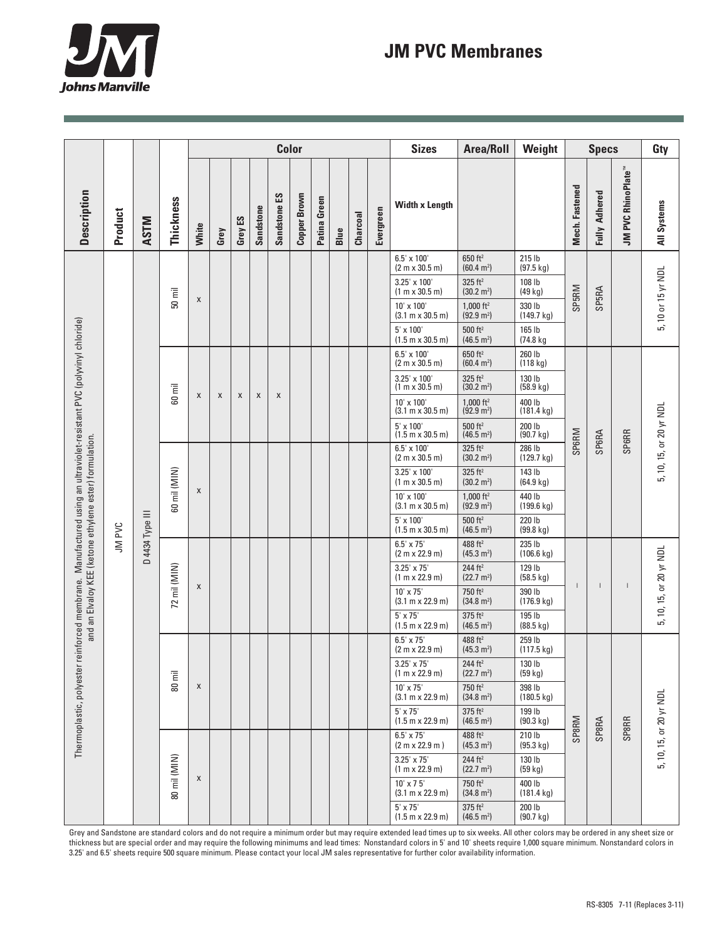

## **JM PVC Membranes**

|                                                                                                                                                                                  |         |                 |              |       | <b>Color</b> |         |                  |              |                     |              |      |          |           | <b>Sizes</b>                                          | <b>Area/Roll</b>                                | Weight                         | <b>Specs</b>   |                      |                                       | Gty                     |
|----------------------------------------------------------------------------------------------------------------------------------------------------------------------------------|---------|-----------------|--------------|-------|--------------|---------|------------------|--------------|---------------------|--------------|------|----------|-----------|-------------------------------------------------------|-------------------------------------------------|--------------------------------|----------------|----------------------|---------------------------------------|-------------------------|
| Description                                                                                                                                                                      | Product | <b>ASTM</b>     | Thickness    | White | Grey         | Grey ES | <b>Sandstone</b> | Sandstone ES | <b>Copper Brown</b> | Patina Green | Blue | Charcoal | Evergreen | <b>Width x Length</b>                                 |                                                 |                                | Mech. Fastened | <b>Fully Adhered</b> | <b>JM PVC RhinoPlate</b> <sup>™</sup> | <b>All Systems</b>      |
|                                                                                                                                                                                  |         | D 4434 Type III | $50$ mil     | X     |              |         |                  |              |                     |              |      |          |           | $6.5' \times 100'$<br>(2 m x 30.5 m)                  | 650 ft <sup>2</sup><br>(60.4 m <sup>2</sup> )   | 215 lb<br>$(97.5 \text{ kg})$  |                |                      |                                       | 5, 10 or 15 yr NDL      |
| reinforced membrane. Manufactured using an ultraviolet-resistant PVC (polyvinyl chloride)<br>and an Elvaloy KEE (ketone ethylene ester) formulation.<br>Thermoplastic, polyester | JM PVC  |                 |              |       |              |         |                  |              |                     |              |      |          |           | $3.25' \times 100'$<br>(1 m x 30.5 m)                 | 325 ft <sup>2</sup><br>$(30.2 \text{ m}^2)$     | 108 lb<br>(49 kg)              | SP5RM          | SP5RA                |                                       |                         |
|                                                                                                                                                                                  |         |                 |              |       |              |         |                  |              |                     |              |      |          |           | 10' x 100'<br>$(3.1 \text{ m} \times 30.5 \text{ m})$ | $1,000$ ft <sup>2</sup><br>$(92.9 \text{ m}^2)$ | 330 lb<br>(149.7 kg)           |                |                      |                                       |                         |
|                                                                                                                                                                                  |         |                 |              |       |              |         |                  |              |                     |              |      |          |           | $5' \times 100'$<br>$(1.5 m \times 30.5 m)$           | $500$ ft <sup>2</sup><br>$(46.5 \text{ m}^2)$   | 165 lb<br>(74.8 kg             |                |                      |                                       |                         |
|                                                                                                                                                                                  |         |                 | 60 mil       | X     | X            | X       | X                | X            |                     |              |      |          |           | $6.5' \times 100'$<br>(2 m x 30.5 m)                  | 650 ft <sup>2</sup><br>(60.4 m <sup>2</sup> )   | 260 lb<br>(118 kg)             | SP6RM          | SP6RA                | <b>SP6RR</b>                          | 5, 10, 15, or 20 yr NDL |
|                                                                                                                                                                                  |         |                 |              |       |              |         |                  |              |                     |              |      |          |           | 3.25' x 100'<br>(1 m x 30.5 m)                        | $325$ ft <sup>2</sup><br>(30.2 m <sup>2</sup> ) | 130 lb<br>(58.9 kg)            |                |                      |                                       |                         |
|                                                                                                                                                                                  |         |                 |              |       |              |         |                  |              |                     |              |      |          |           | 10' x 100'<br>$(3.1 \text{ m} \times 30.5 \text{ m})$ | 1,000 $ft^2$<br>$(92.9 \text{ m}^2)$            | 400 lb<br>$(181.4 \text{ kg})$ |                |                      |                                       |                         |
|                                                                                                                                                                                  |         |                 |              |       |              |         |                  |              |                     |              |      |          |           | $5' \times 100'$<br>$(1.5 m \times 30.5 m)$           | 500 ft <sup>2</sup><br>(46.5 m <sup>2</sup> )   | 200 lb<br>(90.7 kg)            |                |                      |                                       |                         |
|                                                                                                                                                                                  |         |                 | 60 mil (MIN) | X     |              |         |                  |              |                     |              |      |          |           | 6.5' x 100'<br>(2 m x 30.5 m)                         | $325$ ft <sup>2</sup><br>$(30.2 \text{ m}^2)$   | 286 lb<br>(129.7 kg)           |                |                      |                                       |                         |
|                                                                                                                                                                                  |         |                 |              |       |              |         |                  |              |                     |              |      |          |           | 3.25' x 100'<br>(1 m x 30.5 m)                        | $325$ ft <sup>2</sup><br>$(30.2 \text{ m}^2)$   | 143 lb<br>(64.9 kg)            |                |                      |                                       |                         |
|                                                                                                                                                                                  |         |                 |              |       |              |         |                  |              |                     |              |      |          |           | 10' x 100'<br>$(3.1 m \times 30.5 m)$                 | $1,000$ ft <sup>2</sup><br>$(92.9 \text{ m}^2)$ | 440 lb<br>$(199.6 \text{ kg})$ |                |                      |                                       |                         |
|                                                                                                                                                                                  |         |                 |              |       |              |         |                  |              |                     |              |      |          |           | 5' x 100'<br>$(1.5 m \times 30.5 m)$                  | $500$ ft <sup>2</sup><br>$(46.5 \text{ m}^2)$   | 220 lb<br>$(99.8 \text{ kg})$  |                |                      |                                       |                         |
|                                                                                                                                                                                  |         |                 | 72 mil (MIN) | X     |              |         |                  |              |                     |              |      |          |           | $6.5' \times 75'$<br>(2 m x 22.9 m)                   | 488 ft <sup>2</sup><br>$(45.3 \text{ m}^2)$     | 235 lb<br>$(106.6 \text{ kg})$ | $\mathbf{I}$   |                      | $\overline{1}$                        | 5, 10, 15, or 20 yr NDL |
|                                                                                                                                                                                  |         |                 |              |       |              |         |                  |              |                     |              |      |          |           | $3.25' \times 75'$<br>(1 m x 22.9 m)                  | 244 $ft2$<br>$(22.7 \text{ m}^2)$               | 129 lb<br>$(58.5 \text{ kg})$  |                |                      |                                       |                         |
|                                                                                                                                                                                  |         |                 |              |       |              |         |                  |              |                     |              |      |          |           | 10' x 75'<br>$(3.1 m \times 22.9 m)$                  | 750 ft <sup>2</sup><br>$(34.8 \text{ m}^2)$     | 390 lb<br>(176.9 kg)           |                |                      |                                       |                         |
|                                                                                                                                                                                  |         |                 |              |       |              |         |                  |              |                     |              |      |          |           | $5' \times 75'$<br>$(1.5 m \times 22.9 m)$            | $375$ ft <sup>2</sup><br>$(46.5 \text{ m}^2)$   | 195 lb<br>(88.5 kg)            |                |                      |                                       |                         |
|                                                                                                                                                                                  |         |                 | Ē<br>80      |       |              |         |                  |              |                     |              |      |          |           | $6.5' \times 75'$<br>(2 m x 22.9 m)                   | 488 ft <sup>2</sup><br>(45.3 m <sup>2</sup> )   | 259 lb<br>$(117.5 \text{ kg})$ | SP8RM          |                      | <b>SP8RR</b>                          | 5, 10, 15, or 20 yr NDL |
|                                                                                                                                                                                  |         |                 |              | X     |              |         |                  |              |                     |              |      |          |           | $3.25' \times 75'$<br>(1 m x 22.9 m)                  | $244 \; \mathrm{ft^2}$<br>$(22.7 \text{ m}^2)$  | 130 lb<br>(59 kg)              |                |                      |                                       |                         |
|                                                                                                                                                                                  |         |                 |              |       |              |         |                  |              |                     |              |      |          |           | 10' x 75'<br>(3.1 m x 22.9 m)                         | 750 ft <sup>2</sup><br>$(34.8 \text{ m}^2)$     | 398 lb<br>$(180.5 \text{ kg})$ |                |                      |                                       |                         |
|                                                                                                                                                                                  |         |                 |              |       |              |         |                  |              |                     |              |      |          |           | $5' \times 75'$<br>$(1.5 m \times 22.9 m)$            | $375$ ft <sup>2</sup><br>$(46.5 \text{ m}^2)$   | 199 lb<br>(90.3 kg)            |                |                      |                                       |                         |
|                                                                                                                                                                                  |         |                 | 80 mil (MIN) | X     |              |         |                  |              |                     |              |      |          |           | $6.5' \times 75'$<br>(2 m x 22.9 m)                   | 488 ft <sup>2</sup><br>(45.3 m <sup>2</sup> )   | 210 lb<br>(95.3 kg)            |                | SP8RA                |                                       |                         |
|                                                                                                                                                                                  |         |                 |              |       |              |         |                  |              |                     |              |      |          |           | $3.25' \times 75'$<br>(1 m x 22.9 m)                  | 244 ft <sup>2</sup><br>$(22.7 \text{ m}^2)$     | 130 lb<br>(59 kg)              |                |                      |                                       |                         |
|                                                                                                                                                                                  |         |                 |              |       |              |         |                  |              |                     |              |      |          |           | $10' \times 75'$<br>(3.1 m x 22.9 m)                  | 750 ft <sup>2</sup><br>$(34.8 \text{ m}^2)$     | 400 lb<br>$(181.4 \text{ kg})$ |                |                      |                                       |                         |
|                                                                                                                                                                                  |         |                 |              |       |              |         |                  |              |                     |              |      |          |           | $5' \times 75'$<br>$(1.5 m \times 22.9 m)$            | $375$ ft <sup>2</sup><br>(46.5 m <sup>2</sup> ) | 200 lb<br>$(90.7 \text{ kg})$  |                |                      |                                       |                         |

Grey and Sandstone are standard colors and do not require a minimum order but may require extended lead times up to six weeks. All other colors may be ordered in any sheet size or thickness but are special order and may require the following minimums and lead times: Nonstandard colors in 5' and 10' sheets require 1,000 square minimum. Nonstandard colors in 3.25' and 6.5' sheets require 500 square minimum. Please contact your local JM sales representative for further color availability information.